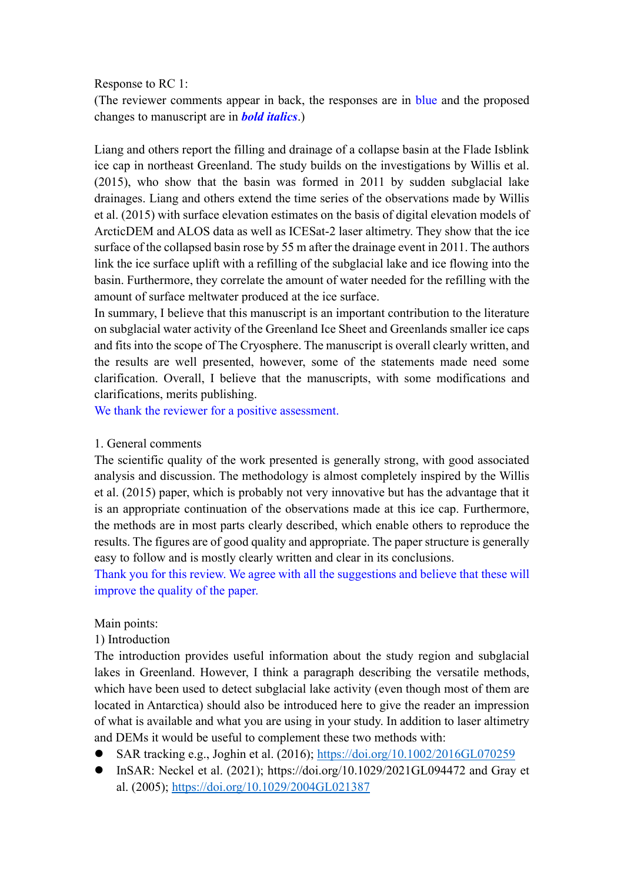### Response to RC 1:

(The reviewer comments appear in back, the responses are in blue and the proposed changes to manuscript are in *bold italics*.)

Liang and others report the filling and drainage of a collapse basin at the Flade Isblink ice cap in northeast Greenland. The study builds on the investigations by Willis et al. (2015), who show that the basin was formed in 2011 by sudden subglacial lake drainages. Liang and others extend the time series of the observations made by Willis et al. (2015) with surface elevation estimates on the basis of digital elevation models of ArcticDEM and ALOS data as well as ICESat-2 laser altimetry. They show that the ice surface of the collapsed basin rose by 55 m after the drainage event in 2011. The authors link the ice surface uplift with a refilling of the subglacial lake and ice flowing into the basin. Furthermore, they correlate the amount of water needed for the refilling with the amount of surface meltwater produced at the ice surface.

In summary, I believe that this manuscript is an important contribution to the literature on subglacial water activity of the Greenland Ice Sheet and Greenlands smaller ice caps and fits into the scope of The Cryosphere. The manuscript is overall clearly written, and the results are well presented, however, some of the statements made need some clarification. Overall, I believe that the manuscripts, with some modifications and clarifications, merits publishing.

We thank the reviewer for a positive assessment.

### 1. General comments

The scientific quality of the work presented is generally strong, with good associated analysis and discussion. The methodology is almost completely inspired by the Willis et al. (2015) paper, which is probably not very innovative but has the advantage that it is an appropriate continuation of the observations made at this ice cap. Furthermore, the methods are in most parts clearly described, which enable others to reproduce the results. The figures are of good quality and appropriate. The paper structure is generally easy to follow and is mostly clearly written and clear in its conclusions.

Thank you for this review. We agree with all the suggestions and believe that these will improve the quality of the paper.

### Main points:

### 1) Introduction

The introduction provides useful information about the study region and subglacial lakes in Greenland. However, I think a paragraph describing the versatile methods, which have been used to detect subglacial lake activity (even though most of them are located in Antarctica) should also be introduced here to give the reader an impression of what is available and what you are using in your study. In addition to laser altimetry and DEMs it would be useful to complement these two methods with:

- SAR tracking e.g., Joghin et al. (2016);<https://doi.org/10.1002/2016GL070259>
- ⚫ InSAR: Neckel et al. (2021); https://doi.org/10.1029/2021GL094472 and Gray et al. (2005);<https://doi.org/10.1029/2004GL021387>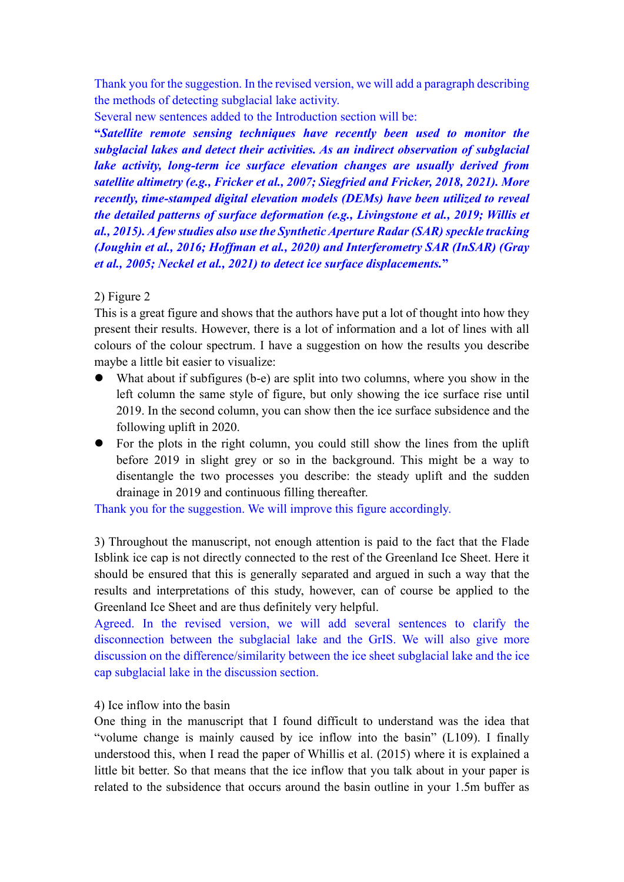Thank you for the suggestion. In the revised version, we will add a paragraph describing the methods of detecting subglacial lake activity.

Several new sentences added to the Introduction section will be:

**"***Satellite remote sensing techniques have recently been used to monitor the subglacial lakes and detect their activities. As an indirect observation of subglacial lake activity, long-term ice surface elevation changes are usually derived from satellite altimetry (e.g., Fricker et al., 2007; Siegfried and Fricker, 2018, 2021). More recently, time-stamped digital elevation models (DEMs) have been utilized to reveal the detailed patterns of surface deformation (e.g., Livingstone et al., 2019; Willis et al., 2015). A few studies also use the Synthetic Aperture Radar (SAR) speckle tracking (Joughin et al., 2016; Hoffman et al., 2020) and Interferometry SAR (InSAR) (Gray et al., 2005; Neckel et al., 2021) to detect ice surface displacements.***"**

# 2) Figure 2

This is a great figure and shows that the authors have put a lot of thought into how they present their results. However, there is a lot of information and a lot of lines with all colours of the colour spectrum. I have a suggestion on how the results you describe maybe a little bit easier to visualize:

- What about if subfigures (b-e) are split into two columns, where you show in the left column the same style of figure, but only showing the ice surface rise until 2019. In the second column, you can show then the ice surface subsidence and the following uplift in 2020.
- ⚫ For the plots in the right column, you could still show the lines from the uplift before 2019 in slight grey or so in the background. This might be a way to disentangle the two processes you describe: the steady uplift and the sudden drainage in 2019 and continuous filling thereafter.

Thank you for the suggestion. We will improve this figure accordingly.

3) Throughout the manuscript, not enough attention is paid to the fact that the Flade Isblink ice cap is not directly connected to the rest of the Greenland Ice Sheet. Here it should be ensured that this is generally separated and argued in such a way that the results and interpretations of this study, however, can of course be applied to the Greenland Ice Sheet and are thus definitely very helpful.

Agreed. In the revised version, we will add several sentences to clarify the disconnection between the subglacial lake and the GrIS. We will also give more discussion on the difference/similarity between the ice sheet subglacial lake and the ice cap subglacial lake in the discussion section.

# 4) Ice inflow into the basin

One thing in the manuscript that I found difficult to understand was the idea that "volume change is mainly caused by ice inflow into the basin" (L109). I finally understood this, when I read the paper of Whillis et al. (2015) where it is explained a little bit better. So that means that the ice inflow that you talk about in your paper is related to the subsidence that occurs around the basin outline in your 1.5m buffer as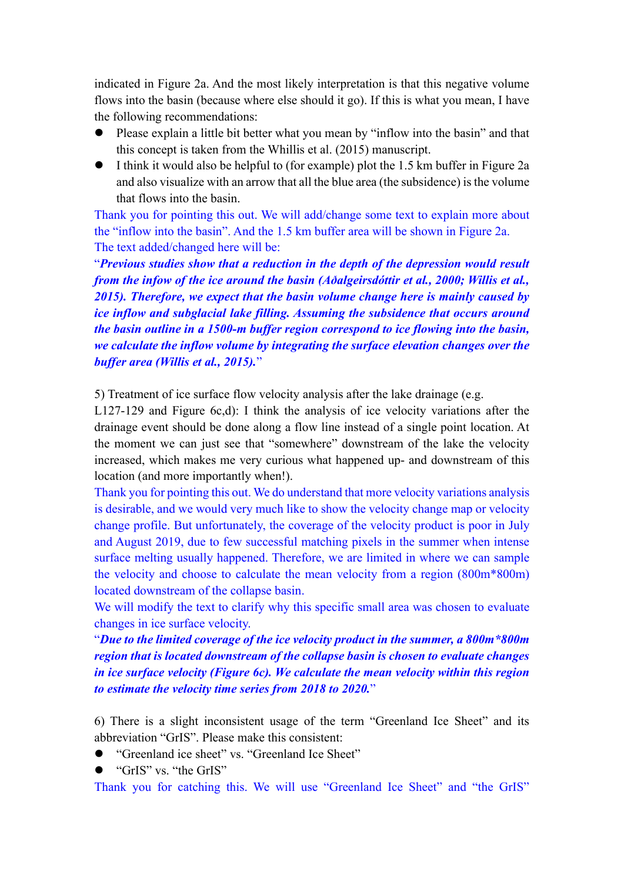indicated in Figure 2a. And the most likely interpretation is that this negative volume flows into the basin (because where else should it go). If this is what you mean, I have the following recommendations:

- Please explain a little bit better what you mean by "inflow into the basin" and that this concept is taken from the Whillis et al. (2015) manuscript.
- ⚫ I think it would also be helpful to (for example) plot the 1.5 km buffer in Figure 2a and also visualize with an arrow that all the blue area (the subsidence) is the volume that flows into the basin.

Thank you for pointing this out. We will add/change some text to explain more about the "inflow into the basin". And the 1.5 km buffer area will be shown in Figure 2a. The text added/changed here will be:

"*Previous studies show that a reduction in the depth of the depression would result from the infow of the ice around the basin (Aðalgeirsdóttir et al., 2000; Willis et al., 2015). Therefore, we expect that the basin volume change here is mainly caused by ice inflow and subglacial lake filling. Assuming the subsidence that occurs around the basin outline in a 1500-m buffer region correspond to ice flowing into the basin, we calculate the inflow volume by integrating the surface elevation changes over the buffer area (Willis et al., 2015).*"

5) Treatment of ice surface flow velocity analysis after the lake drainage (e.g.

L127-129 and Figure 6c,d): I think the analysis of ice velocity variations after the drainage event should be done along a flow line instead of a single point location. At the moment we can just see that "somewhere" downstream of the lake the velocity increased, which makes me very curious what happened up- and downstream of this location (and more importantly when!).

Thank you for pointing this out. We do understand that more velocity variations analysis is desirable, and we would very much like to show the velocity change map or velocity change profile. But unfortunately, the coverage of the velocity product is poor in July and August 2019, due to few successful matching pixels in the summer when intense surface melting usually happened. Therefore, we are limited in where we can sample the velocity and choose to calculate the mean velocity from a region (800m\*800m) located downstream of the collapse basin.

We will modify the text to clarify why this specific small area was chosen to evaluate changes in ice surface velocity.

"*Due to the limited coverage of the ice velocity product in the summer, a 800m\*800m region that is located downstream of the collapse basin is chosen to evaluate changes in ice surface velocity (Figure 6c). We calculate the mean velocity within this region to estimate the velocity time series from 2018 to 2020.*"

6) There is a slight inconsistent usage of the term "Greenland Ice Sheet" and its abbreviation "GrIS". Please make this consistent:

- "Greenland ice sheet" vs. "Greenland Ice Sheet"
- ⚫ "GrIS" vs. "the GrIS"

Thank you for catching this. We will use "Greenland Ice Sheet" and "the GrIS"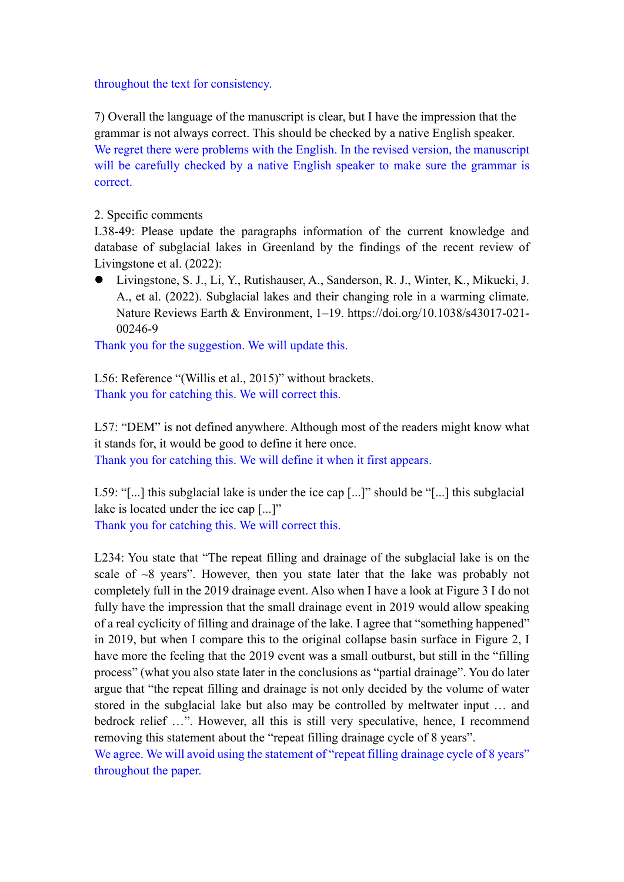### throughout the text for consistency.

7) Overall the language of the manuscript is clear, but I have the impression that the grammar is not always correct. This should be checked by a native English speaker. We regret there were problems with the English. In the revised version, the manuscript will be carefully checked by a native English speaker to make sure the grammar is correct.

# 2. Specific comments

L38-49: Please update the paragraphs information of the current knowledge and database of subglacial lakes in Greenland by the findings of the recent review of Livingstone et al. (2022):

⚫ Livingstone, S. J., Li, Y., Rutishauser, A., Sanderson, R. J., Winter, K., Mikucki, J. A., et al. (2022). Subglacial lakes and their changing role in a warming climate. Nature Reviews Earth & Environment, 1–19. https://doi.org/10.1038/s43017-021- 00246-9

Thank you for the suggestion. We will update this.

L56: Reference "(Willis et al., 2015)" without brackets. Thank you for catching this. We will correct this.

L57: "DEM" is not defined anywhere. Although most of the readers might know what it stands for, it would be good to define it here once. Thank you for catching this. We will define it when it first appears.

L59: "[...] this subglacial lake is under the ice cap [...]" should be "[...] this subglacial lake is located under the ice cap [...]" Thank you for catching this. We will correct this.

L234: You state that "The repeat filling and drainage of the subglacial lake is on the scale of  $\sim$ 8 years". However, then you state later that the lake was probably not completely full in the 2019 drainage event. Also when I have a look at Figure 3 I do not fully have the impression that the small drainage event in 2019 would allow speaking of a real cyclicity of filling and drainage of the lake. I agree that "something happened" in 2019, but when I compare this to the original collapse basin surface in Figure 2, I have more the feeling that the 2019 event was a small outburst, but still in the "filling process" (what you also state later in the conclusions as "partial drainage". You do later argue that "the repeat filling and drainage is not only decided by the volume of water stored in the subglacial lake but also may be controlled by meltwater input … and bedrock relief …". However, all this is still very speculative, hence, I recommend removing this statement about the "repeat filling drainage cycle of 8 years".

We agree. We will avoid using the statement of "repeat filling drainage cycle of 8 years" throughout the paper.